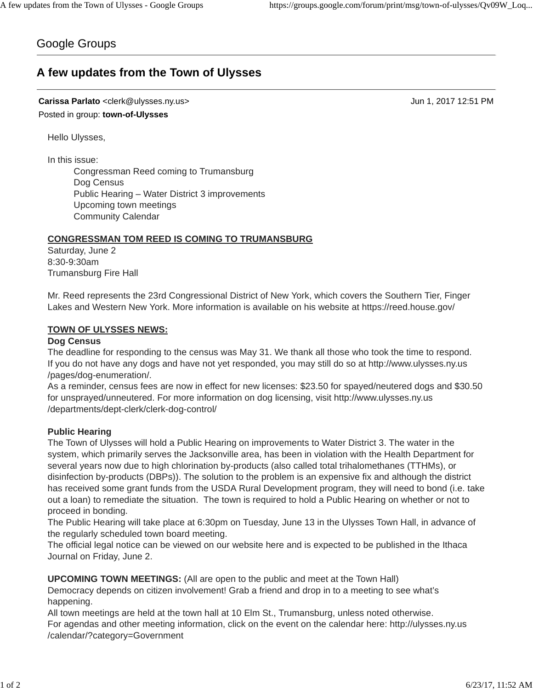# Google Groups

# **A few updates from the Town of Ulysses**

**Carissa Parlato** <clerk@ulysses.ny.us> Jun 1, 2017 12:51 PM Posted in group: **town-of-Ulysses**

Hello Ulysses,

In this issue:

Congressman Reed coming to Trumansburg Dog Census Public Hearing – Water District 3 improvements Upcoming town meetings Community Calendar

# **CONGRESSMAN TOM REED IS COMING TO TRUMANSBURG**

Saturday, June 2 8:30-9:30am Trumansburg Fire Hall

Mr. Reed represents the 23rd Congressional District of New York, which covers the Southern Tier, Finger Lakes and Western New York. More information is available on his website at https://reed.house.gov/

# **TOWN OF ULYSSES NEWS:**

### **Dog Census**

The deadline for responding to the census was May 31. We thank all those who took the time to respond. If you do not have any dogs and have not yet responded, you may still do so at http://www.ulysses.ny.us /pages/dog-enumeration/.

As a reminder, census fees are now in effect for new licenses: \$23.50 for spayed/neutered dogs and \$30.50 for unsprayed/unneutered. For more information on dog licensing, visit http://www.ulysses.ny.us /departments/dept-clerk/clerk-dog-control/

### **Public Hearing**

The Town of Ulysses will hold a Public Hearing on improvements to Water District 3. The water in the system, which primarily serves the Jacksonville area, has been in violation with the Health Department for several years now due to high chlorination by-products (also called total trihalomethanes (TTHMs), or disinfection by-products (DBPs)). The solution to the problem is an expensive fix and although the district has received some grant funds from the USDA Rural Development program, they will need to bond (i.e. take out a loan) to remediate the situation. The town is required to hold a Public Hearing on whether or not to proceed in bonding.

The Public Hearing will take place at 6:30pm on Tuesday, June 13 in the Ulysses Town Hall, in advance of the regularly scheduled town board meeting.

The official legal notice can be viewed on our website here and is expected to be published in the Ithaca Journal on Friday, June 2.

**UPCOMING TOWN MEETINGS:** (All are open to the public and meet at the Town Hall)

Democracy depends on citizen involvement! Grab a friend and drop in to a meeting to see what's happening.

All town meetings are held at the town hall at 10 Elm St., Trumansburg, unless noted otherwise. For agendas and other meeting information, click on the event on the calendar here: http://ulysses.ny.us /calendar/?category=Government